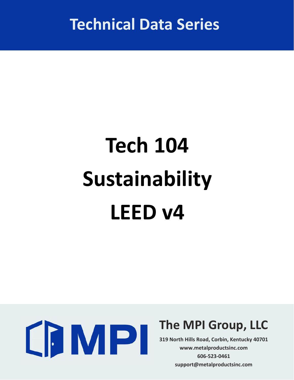**Technical Data Series**

# **Tech 104 Sustainability LEED v4**



## **The MPI Group, LLC**

**319 North Hills Road, Corbin, Kentucky 40701 www.metalproductsinc.com 606‐523‐0461 support@metalproductsinc.com**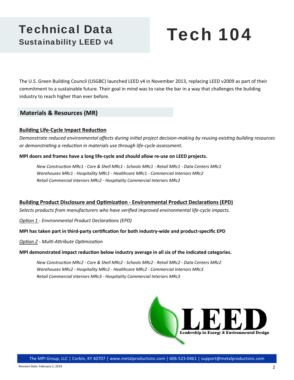### Technical Data Sustainability LEED v4

## Tech 104

The U.S. Green Building Council (USGBC) launched LEED v4 in November 2013, replacing LEED v2009 as part of their commitment to a sustainable future. Their goal in mind was to raise the bar in a way that challenges the building industry to reach higher than ever before.

#### **Materials & Resources (MR)**

#### **Building Life-Cycle Impact Reduction**

Demonstrate reduced environmental affects during initial project decision-making by reusing existing building resources *or demonstraƟng a reducƟon in materials use through life‐cycle assessment.* 

#### **MPI doors and frames have a long life‐cycle and should allow re‐use on LEED projects.**

 *New ConstrucƟon MRc1 ‐ Core & Shell MRc1 ‐ Schools MRc1 ‐ Retail MRc1 ‐ Data Centers MRc1 Warehouses MRc1 ‐ Hospitality MRc1 ‐ Healthcare MRc1 ‐ Commercial Interiors MRc2 Retail Commercial Interiors MRc2 ‐ Hospitality Commercial Interiors MRc2*

#### **Building Product Disclosure and Optimization - Environmental Product Declarations (EPD)**

*Selects products from manufacturers who have verified improved environmental life‐cycle impacts.* 

**Option 1 - Environmental Product Declarations (EPD)** 

#### **MPI has taken part in third-party certification for both industry-wide and product-specific EPD**

*OpƟon 2 ‐ MulƟ‐AƩribute OpƟmizaƟon* 

#### **MPI demonstrated impact reducƟon below industry average in all six of the indicated categories.**

 *New ConstrucƟon MRc2 ‐ Core & Shell MRc2 ‐ Schools MRc2 ‐ Retail MRc2 ‐ Data Centers MRc2 Warehouses MRc2 ‐ Hospitality MRc2 ‐ Healthcare MRc2 ‐ Commercial Interiors MRc3 Retail Commercial Interiors MRc3 ‐ Hospitality Commercial Interiors MRc3*

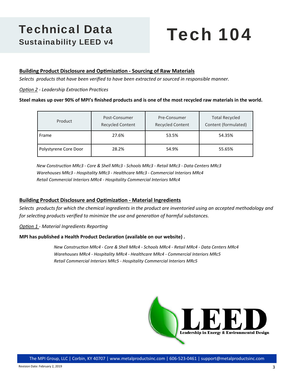### Technical Data Sustainability LEED v4

## Tech 104

#### **Building Product Disclosure and Optimization - Sourcing of Raw Materials**

*Selects products that have been verified to have been extracted or sourced in responsible manner.* 

#### *OpƟon 2 ‐ Leadership ExtracƟon PracƟces*

#### **Steel makes up over 90% of MPI's finished products and is one of the most recycled raw materials in the world.**

| Product               | Post-Consumer<br><b>Recycled Content</b> | Pre-Consumer<br><b>Recycled Content</b> | <b>Total Recycled</b><br>Content (formulated) |
|-----------------------|------------------------------------------|-----------------------------------------|-----------------------------------------------|
| Frame                 | 27.6%                                    | 53.5%                                   | 54.35%                                        |
| Polystyrene Core Door | 28.2%                                    | 54.9%                                   | 55.65%                                        |

 *New ConstrucƟon MRc3 ‐ Core & Shell MRc3 ‐ Schools MRc3 ‐ Retail MRc3 ‐ Data Centers MRc3 Warehouses MRc3 ‐ Hospitality MRc3 ‐ Healthcare MRc3 ‐ Commercial Interiors MRc4 Retail Commercial Interiors MRc4 ‐ Hospitality Commercial Interiors MRc4* 

#### **Building Product Disclosure and Optimization - Material Ingredients**

*Selects products for which the chemical ingredients in the product are inventoried using an accepted methodology and for selecting products verified to minimize the use and generation of harmful substances.* 

**Option 1 - Material Ingredients Reporting** 

#### **MPI has published a Health Product Declaration (available on our website).**

 *New ConstrucƟon MRc4 ‐ Core & Shell MRc4 ‐ Schools MRc4 ‐ Retail MRc4 ‐ Data Centers MRc4 Warehouses MRc4 ‐ Hospitality MRc4 ‐ Healthcare MRc4 ‐ Commercial Interiors MRc5 Retail Commercial Interiors MRc5 ‐ Hospitality Commercial Interiors MRc5*